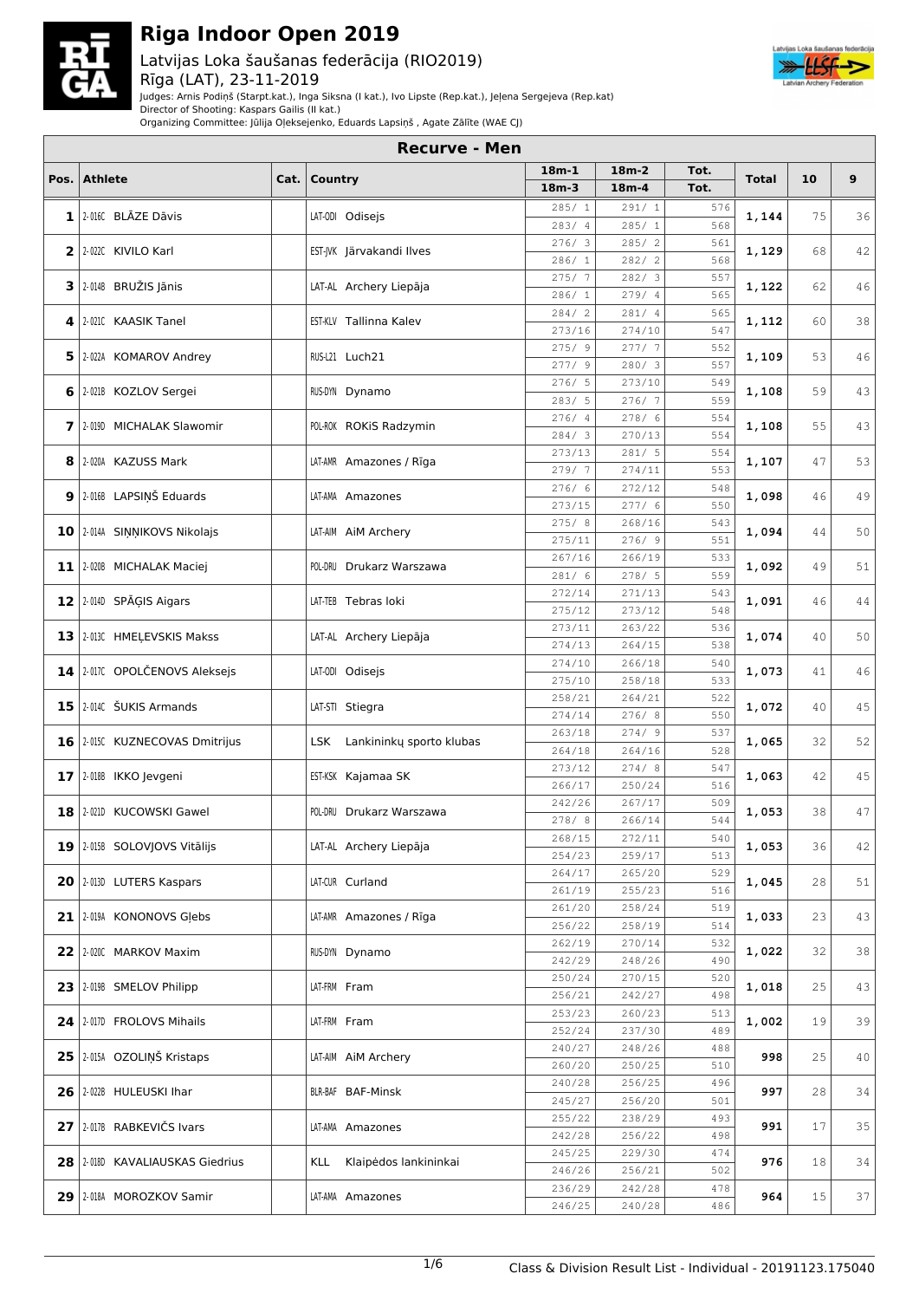

### Latvijas Loka šaušanas federācija (RIO2019) Rīga (LAT), 23-11-2019



Judges: Arnis Podiņš (Starpt.kat.), Inga Siksna (I kat.), Ivo Lipste (Rep.kat.), Jeļena Sergejeva (Rep.kat)

Director of Shooting: Kaspars Gailis (II kat.)

Organizing Committee: Jūlija Oļeksejenko, Eduards Lapsiņš , Agate Zālīte (WAE CJ)

| $18m-2$<br>Tot.<br>$18m-1$<br>Pos. Athlete<br>Country<br>10<br>9<br>Cat.<br><b>Total</b><br>$18m-4$<br>Tot.<br>$18m-3$<br>285/1<br>291/1<br>576<br>$\mathbf{1}$ 2.016C BLAZE Dāvis<br>LAT-ODI Odisejs<br>1,144<br>75<br>568<br>285/1<br>283/4<br>285/2<br>276/3<br>561<br>2 2 2 0220 KIVILO Karl<br>EST-IVK Järvakandi Ilves<br>1,129<br>68<br>568<br>282/2<br>286/1<br>282/3<br>275/7<br>557<br>2-014B BRUŽIS Jānis<br>3 <br>LAT-AL Archery Liepāja<br>1,122<br>62<br>279/4<br>565<br>286/1<br>281/4<br>284/2<br>565<br>EST-KLV Tallinna Kalev<br>2-021C KAASIK Tanel<br>1,112<br>60<br>38<br>4<br>547<br>273/16<br>274/10<br>277/7<br>275/9<br>552<br>46<br>5<br>2-022A KOMAROV Andrey<br>RUS-L21 Luch21<br>1,109<br>53<br>557<br>277/9<br>280/3<br>276/5<br>273/10<br>549<br>1,108<br>59<br>6   2-021B KOZLOV Sergei<br>RUS-DYN Dynamo<br>559<br>283/5<br>276/7<br>278/6<br>276/4<br>554<br>55<br>7 2.0190 MICHALAK Slawomir<br>POL-ROK ROKIS Radzymin<br>1,108<br>284/3<br>270/13<br>554<br>281/5<br>273/13<br>554<br>1,107<br>2-020A KAZUSS Mark<br>LAT-AMR Amazones / Rīga<br>47<br>8<br>279/7<br>274/11<br>553<br>276/6<br>272/12<br>548<br>2-016B LAPSIŅŠ Eduards<br>1,098<br>9<br>49<br>LAT-AMA Amazones<br>46<br>550<br>277/6<br>273/15<br>275/8<br>268/16<br>543<br>10 2.0144 SINNIKOVS Nikolajs<br>LAT-AIM AIM Archery<br>1,094<br>44<br>50<br>551<br>275/11<br>276/9<br>267/16<br>266/19<br>533<br>1,092<br>11 2-020B MICHALAK Maciej<br>POL-DRU Drukarz Warszawa<br>49<br>559<br>278/5<br>281/6<br>271/13<br>272/14<br>543<br>2-0140 SPĀGIS Aigars<br>1,091<br>12<br>LAT-TEB Tebras loki<br>46<br>44<br>273/12<br>275/12<br>548<br>263/22<br>273/11<br>536<br>1,074<br>13<br>2-013C HMELEVSKIS Makss<br>LAT-AL Archery Liepāja<br>40<br>274/13<br>264/15<br>538<br>266/18<br>540<br>274/10<br>2-017C OPOLČENOVS Aleksejs<br>1,073<br>LAT-ODI Odisejs<br>46<br>14<br>41<br>275/10<br>258/18<br>533<br>258/21<br>264/21<br>522<br>15 2.014C ŠUKIS Armands<br>1,072<br>45<br>LAT-STI Stiegra<br>40<br>550<br>274/14<br>276/8<br>274/9<br>263/18<br>537<br>LSK Lankininky sporto klubas<br>1,065<br>32<br>52<br>16   2-015C KUZNECOVAS Dmitrijus<br>528<br>264/18<br>264/16<br>274/8<br>273/12<br>547<br>1,063<br>2-018B IKKO Jevgeni<br>EST-KSK Kajamaa SK<br>42<br>17<br>266/17<br>250/24<br>516<br>267/17<br>242/26<br>509<br>18<br>2-021D KUCOWSKI Gawel<br>47<br>POL-DRU Drukarz Warszawa<br>1,053<br>38<br>544<br>278/8<br>266/14<br>540<br>272/11<br>268/15<br>1,053<br>19   2-015B SOLOVIOVS Vitālijs<br>LAT-AL Archery Liepāja<br>36<br>42<br>254/23<br>259/17<br>513<br>264/17<br>265/20<br>529<br>20 2013D LUTERS Kaspars<br>LAT-CUR Curland<br>1,045<br>28<br>51<br>261/19<br>255/23<br>516<br>258/24<br>261/20<br>519<br>1,033<br>21 2-019A KONONOVS Glebs<br>LAT-AMR Amazones / Rīga<br>23<br>256/22<br>258/19<br>514<br>262/19<br>270/14<br>532<br>22   2-020C MARKOV Maxim<br>1,022<br>RUS-DYN Dynamo<br>32<br>248/26<br>242/29<br>490<br>250/24<br>270/15<br>520<br>23 2019 SMELOV Philipp<br>LAT-FRM Fram<br>1,018<br>25<br>256/21<br>242/27<br>498<br>253/23<br>260/23<br>513<br>24   2-017D FROLOVS Mihails<br>1,002<br>39<br>LAT-FRM Fram<br>19<br>489<br>252/24<br>237/30<br>248/26<br>240/27<br>488<br>25 2015A OZOLIŅŠ Kristaps<br>998<br>25<br>40<br>LAT-AIM AIM Archery<br>260/20<br>250/25<br>510<br>240/28<br>256/25<br>496<br>26   2-022B HULEUSKI Ihar<br>BLR-BAF BAF-Minsk<br>997<br>28<br>245/27<br>256/20<br>501<br>255/22<br>238/29<br>493<br>27 2-017B RABKEVIČS Ivars<br>LAT-AMA Amazones<br>991<br>17<br>256/22<br>242/28<br>498<br>245/25<br>229/30<br>474<br>976<br>28   2-018D KAVALIAUSKAS Giedrius<br>Klaipėdos lankininkai<br>18<br>KLL<br>502<br>246/26<br>256/21<br>236/29<br>242/28<br>478<br>29   2-018A MOROZKOV Samir<br>LAT-AMA Amazones<br>964<br>15<br>37<br>246/25<br>240/28<br>486 | <b>Recurve - Men</b> |  |  |  |  |  |  |  |    |  |  |  |
|----------------------------------------------------------------------------------------------------------------------------------------------------------------------------------------------------------------------------------------------------------------------------------------------------------------------------------------------------------------------------------------------------------------------------------------------------------------------------------------------------------------------------------------------------------------------------------------------------------------------------------------------------------------------------------------------------------------------------------------------------------------------------------------------------------------------------------------------------------------------------------------------------------------------------------------------------------------------------------------------------------------------------------------------------------------------------------------------------------------------------------------------------------------------------------------------------------------------------------------------------------------------------------------------------------------------------------------------------------------------------------------------------------------------------------------------------------------------------------------------------------------------------------------------------------------------------------------------------------------------------------------------------------------------------------------------------------------------------------------------------------------------------------------------------------------------------------------------------------------------------------------------------------------------------------------------------------------------------------------------------------------------------------------------------------------------------------------------------------------------------------------------------------------------------------------------------------------------------------------------------------------------------------------------------------------------------------------------------------------------------------------------------------------------------------------------------------------------------------------------------------------------------------------------------------------------------------------------------------------------------------------------------------------------------------------------------------------------------------------------------------------------------------------------------------------------------------------------------------------------------------------------------------------------------------------------------------------------------------------------------------------------------------------------------------------------------------------------------------------------------------------------------------------------------------------------------------------------------------------------------------------------------------------------------------------------------------------------------------------------------------------------------------------------------------------------------------------------------------------------------------------------------------------------------------------------------------------------------------------------------------------------------------------------------------------------------------------------------------------------------------------------------------------------------------------------------------------------------|----------------------|--|--|--|--|--|--|--|----|--|--|--|
|                                                                                                                                                                                                                                                                                                                                                                                                                                                                                                                                                                                                                                                                                                                                                                                                                                                                                                                                                                                                                                                                                                                                                                                                                                                                                                                                                                                                                                                                                                                                                                                                                                                                                                                                                                                                                                                                                                                                                                                                                                                                                                                                                                                                                                                                                                                                                                                                                                                                                                                                                                                                                                                                                                                                                                                                                                                                                                                                                                                                                                                                                                                                                                                                                                                                                                                                                                                                                                                                                                                                                                                                                                                                                                                                                                                                                                                    |                      |  |  |  |  |  |  |  |    |  |  |  |
|                                                                                                                                                                                                                                                                                                                                                                                                                                                                                                                                                                                                                                                                                                                                                                                                                                                                                                                                                                                                                                                                                                                                                                                                                                                                                                                                                                                                                                                                                                                                                                                                                                                                                                                                                                                                                                                                                                                                                                                                                                                                                                                                                                                                                                                                                                                                                                                                                                                                                                                                                                                                                                                                                                                                                                                                                                                                                                                                                                                                                                                                                                                                                                                                                                                                                                                                                                                                                                                                                                                                                                                                                                                                                                                                                                                                                                                    |                      |  |  |  |  |  |  |  |    |  |  |  |
|                                                                                                                                                                                                                                                                                                                                                                                                                                                                                                                                                                                                                                                                                                                                                                                                                                                                                                                                                                                                                                                                                                                                                                                                                                                                                                                                                                                                                                                                                                                                                                                                                                                                                                                                                                                                                                                                                                                                                                                                                                                                                                                                                                                                                                                                                                                                                                                                                                                                                                                                                                                                                                                                                                                                                                                                                                                                                                                                                                                                                                                                                                                                                                                                                                                                                                                                                                                                                                                                                                                                                                                                                                                                                                                                                                                                                                                    |                      |  |  |  |  |  |  |  | 36 |  |  |  |
|                                                                                                                                                                                                                                                                                                                                                                                                                                                                                                                                                                                                                                                                                                                                                                                                                                                                                                                                                                                                                                                                                                                                                                                                                                                                                                                                                                                                                                                                                                                                                                                                                                                                                                                                                                                                                                                                                                                                                                                                                                                                                                                                                                                                                                                                                                                                                                                                                                                                                                                                                                                                                                                                                                                                                                                                                                                                                                                                                                                                                                                                                                                                                                                                                                                                                                                                                                                                                                                                                                                                                                                                                                                                                                                                                                                                                                                    |                      |  |  |  |  |  |  |  |    |  |  |  |
|                                                                                                                                                                                                                                                                                                                                                                                                                                                                                                                                                                                                                                                                                                                                                                                                                                                                                                                                                                                                                                                                                                                                                                                                                                                                                                                                                                                                                                                                                                                                                                                                                                                                                                                                                                                                                                                                                                                                                                                                                                                                                                                                                                                                                                                                                                                                                                                                                                                                                                                                                                                                                                                                                                                                                                                                                                                                                                                                                                                                                                                                                                                                                                                                                                                                                                                                                                                                                                                                                                                                                                                                                                                                                                                                                                                                                                                    |                      |  |  |  |  |  |  |  | 42 |  |  |  |
|                                                                                                                                                                                                                                                                                                                                                                                                                                                                                                                                                                                                                                                                                                                                                                                                                                                                                                                                                                                                                                                                                                                                                                                                                                                                                                                                                                                                                                                                                                                                                                                                                                                                                                                                                                                                                                                                                                                                                                                                                                                                                                                                                                                                                                                                                                                                                                                                                                                                                                                                                                                                                                                                                                                                                                                                                                                                                                                                                                                                                                                                                                                                                                                                                                                                                                                                                                                                                                                                                                                                                                                                                                                                                                                                                                                                                                                    |                      |  |  |  |  |  |  |  |    |  |  |  |
|                                                                                                                                                                                                                                                                                                                                                                                                                                                                                                                                                                                                                                                                                                                                                                                                                                                                                                                                                                                                                                                                                                                                                                                                                                                                                                                                                                                                                                                                                                                                                                                                                                                                                                                                                                                                                                                                                                                                                                                                                                                                                                                                                                                                                                                                                                                                                                                                                                                                                                                                                                                                                                                                                                                                                                                                                                                                                                                                                                                                                                                                                                                                                                                                                                                                                                                                                                                                                                                                                                                                                                                                                                                                                                                                                                                                                                                    |                      |  |  |  |  |  |  |  | 46 |  |  |  |
|                                                                                                                                                                                                                                                                                                                                                                                                                                                                                                                                                                                                                                                                                                                                                                                                                                                                                                                                                                                                                                                                                                                                                                                                                                                                                                                                                                                                                                                                                                                                                                                                                                                                                                                                                                                                                                                                                                                                                                                                                                                                                                                                                                                                                                                                                                                                                                                                                                                                                                                                                                                                                                                                                                                                                                                                                                                                                                                                                                                                                                                                                                                                                                                                                                                                                                                                                                                                                                                                                                                                                                                                                                                                                                                                                                                                                                                    |                      |  |  |  |  |  |  |  |    |  |  |  |
|                                                                                                                                                                                                                                                                                                                                                                                                                                                                                                                                                                                                                                                                                                                                                                                                                                                                                                                                                                                                                                                                                                                                                                                                                                                                                                                                                                                                                                                                                                                                                                                                                                                                                                                                                                                                                                                                                                                                                                                                                                                                                                                                                                                                                                                                                                                                                                                                                                                                                                                                                                                                                                                                                                                                                                                                                                                                                                                                                                                                                                                                                                                                                                                                                                                                                                                                                                                                                                                                                                                                                                                                                                                                                                                                                                                                                                                    |                      |  |  |  |  |  |  |  |    |  |  |  |
|                                                                                                                                                                                                                                                                                                                                                                                                                                                                                                                                                                                                                                                                                                                                                                                                                                                                                                                                                                                                                                                                                                                                                                                                                                                                                                                                                                                                                                                                                                                                                                                                                                                                                                                                                                                                                                                                                                                                                                                                                                                                                                                                                                                                                                                                                                                                                                                                                                                                                                                                                                                                                                                                                                                                                                                                                                                                                                                                                                                                                                                                                                                                                                                                                                                                                                                                                                                                                                                                                                                                                                                                                                                                                                                                                                                                                                                    |                      |  |  |  |  |  |  |  |    |  |  |  |
|                                                                                                                                                                                                                                                                                                                                                                                                                                                                                                                                                                                                                                                                                                                                                                                                                                                                                                                                                                                                                                                                                                                                                                                                                                                                                                                                                                                                                                                                                                                                                                                                                                                                                                                                                                                                                                                                                                                                                                                                                                                                                                                                                                                                                                                                                                                                                                                                                                                                                                                                                                                                                                                                                                                                                                                                                                                                                                                                                                                                                                                                                                                                                                                                                                                                                                                                                                                                                                                                                                                                                                                                                                                                                                                                                                                                                                                    |                      |  |  |  |  |  |  |  |    |  |  |  |
|                                                                                                                                                                                                                                                                                                                                                                                                                                                                                                                                                                                                                                                                                                                                                                                                                                                                                                                                                                                                                                                                                                                                                                                                                                                                                                                                                                                                                                                                                                                                                                                                                                                                                                                                                                                                                                                                                                                                                                                                                                                                                                                                                                                                                                                                                                                                                                                                                                                                                                                                                                                                                                                                                                                                                                                                                                                                                                                                                                                                                                                                                                                                                                                                                                                                                                                                                                                                                                                                                                                                                                                                                                                                                                                                                                                                                                                    |                      |  |  |  |  |  |  |  | 43 |  |  |  |
|                                                                                                                                                                                                                                                                                                                                                                                                                                                                                                                                                                                                                                                                                                                                                                                                                                                                                                                                                                                                                                                                                                                                                                                                                                                                                                                                                                                                                                                                                                                                                                                                                                                                                                                                                                                                                                                                                                                                                                                                                                                                                                                                                                                                                                                                                                                                                                                                                                                                                                                                                                                                                                                                                                                                                                                                                                                                                                                                                                                                                                                                                                                                                                                                                                                                                                                                                                                                                                                                                                                                                                                                                                                                                                                                                                                                                                                    |                      |  |  |  |  |  |  |  |    |  |  |  |
|                                                                                                                                                                                                                                                                                                                                                                                                                                                                                                                                                                                                                                                                                                                                                                                                                                                                                                                                                                                                                                                                                                                                                                                                                                                                                                                                                                                                                                                                                                                                                                                                                                                                                                                                                                                                                                                                                                                                                                                                                                                                                                                                                                                                                                                                                                                                                                                                                                                                                                                                                                                                                                                                                                                                                                                                                                                                                                                                                                                                                                                                                                                                                                                                                                                                                                                                                                                                                                                                                                                                                                                                                                                                                                                                                                                                                                                    |                      |  |  |  |  |  |  |  | 43 |  |  |  |
|                                                                                                                                                                                                                                                                                                                                                                                                                                                                                                                                                                                                                                                                                                                                                                                                                                                                                                                                                                                                                                                                                                                                                                                                                                                                                                                                                                                                                                                                                                                                                                                                                                                                                                                                                                                                                                                                                                                                                                                                                                                                                                                                                                                                                                                                                                                                                                                                                                                                                                                                                                                                                                                                                                                                                                                                                                                                                                                                                                                                                                                                                                                                                                                                                                                                                                                                                                                                                                                                                                                                                                                                                                                                                                                                                                                                                                                    |                      |  |  |  |  |  |  |  |    |  |  |  |
|                                                                                                                                                                                                                                                                                                                                                                                                                                                                                                                                                                                                                                                                                                                                                                                                                                                                                                                                                                                                                                                                                                                                                                                                                                                                                                                                                                                                                                                                                                                                                                                                                                                                                                                                                                                                                                                                                                                                                                                                                                                                                                                                                                                                                                                                                                                                                                                                                                                                                                                                                                                                                                                                                                                                                                                                                                                                                                                                                                                                                                                                                                                                                                                                                                                                                                                                                                                                                                                                                                                                                                                                                                                                                                                                                                                                                                                    |                      |  |  |  |  |  |  |  | 53 |  |  |  |
|                                                                                                                                                                                                                                                                                                                                                                                                                                                                                                                                                                                                                                                                                                                                                                                                                                                                                                                                                                                                                                                                                                                                                                                                                                                                                                                                                                                                                                                                                                                                                                                                                                                                                                                                                                                                                                                                                                                                                                                                                                                                                                                                                                                                                                                                                                                                                                                                                                                                                                                                                                                                                                                                                                                                                                                                                                                                                                                                                                                                                                                                                                                                                                                                                                                                                                                                                                                                                                                                                                                                                                                                                                                                                                                                                                                                                                                    |                      |  |  |  |  |  |  |  |    |  |  |  |
|                                                                                                                                                                                                                                                                                                                                                                                                                                                                                                                                                                                                                                                                                                                                                                                                                                                                                                                                                                                                                                                                                                                                                                                                                                                                                                                                                                                                                                                                                                                                                                                                                                                                                                                                                                                                                                                                                                                                                                                                                                                                                                                                                                                                                                                                                                                                                                                                                                                                                                                                                                                                                                                                                                                                                                                                                                                                                                                                                                                                                                                                                                                                                                                                                                                                                                                                                                                                                                                                                                                                                                                                                                                                                                                                                                                                                                                    |                      |  |  |  |  |  |  |  |    |  |  |  |
|                                                                                                                                                                                                                                                                                                                                                                                                                                                                                                                                                                                                                                                                                                                                                                                                                                                                                                                                                                                                                                                                                                                                                                                                                                                                                                                                                                                                                                                                                                                                                                                                                                                                                                                                                                                                                                                                                                                                                                                                                                                                                                                                                                                                                                                                                                                                                                                                                                                                                                                                                                                                                                                                                                                                                                                                                                                                                                                                                                                                                                                                                                                                                                                                                                                                                                                                                                                                                                                                                                                                                                                                                                                                                                                                                                                                                                                    |                      |  |  |  |  |  |  |  |    |  |  |  |
|                                                                                                                                                                                                                                                                                                                                                                                                                                                                                                                                                                                                                                                                                                                                                                                                                                                                                                                                                                                                                                                                                                                                                                                                                                                                                                                                                                                                                                                                                                                                                                                                                                                                                                                                                                                                                                                                                                                                                                                                                                                                                                                                                                                                                                                                                                                                                                                                                                                                                                                                                                                                                                                                                                                                                                                                                                                                                                                                                                                                                                                                                                                                                                                                                                                                                                                                                                                                                                                                                                                                                                                                                                                                                                                                                                                                                                                    |                      |  |  |  |  |  |  |  |    |  |  |  |
|                                                                                                                                                                                                                                                                                                                                                                                                                                                                                                                                                                                                                                                                                                                                                                                                                                                                                                                                                                                                                                                                                                                                                                                                                                                                                                                                                                                                                                                                                                                                                                                                                                                                                                                                                                                                                                                                                                                                                                                                                                                                                                                                                                                                                                                                                                                                                                                                                                                                                                                                                                                                                                                                                                                                                                                                                                                                                                                                                                                                                                                                                                                                                                                                                                                                                                                                                                                                                                                                                                                                                                                                                                                                                                                                                                                                                                                    |                      |  |  |  |  |  |  |  | 51 |  |  |  |
|                                                                                                                                                                                                                                                                                                                                                                                                                                                                                                                                                                                                                                                                                                                                                                                                                                                                                                                                                                                                                                                                                                                                                                                                                                                                                                                                                                                                                                                                                                                                                                                                                                                                                                                                                                                                                                                                                                                                                                                                                                                                                                                                                                                                                                                                                                                                                                                                                                                                                                                                                                                                                                                                                                                                                                                                                                                                                                                                                                                                                                                                                                                                                                                                                                                                                                                                                                                                                                                                                                                                                                                                                                                                                                                                                                                                                                                    |                      |  |  |  |  |  |  |  |    |  |  |  |
|                                                                                                                                                                                                                                                                                                                                                                                                                                                                                                                                                                                                                                                                                                                                                                                                                                                                                                                                                                                                                                                                                                                                                                                                                                                                                                                                                                                                                                                                                                                                                                                                                                                                                                                                                                                                                                                                                                                                                                                                                                                                                                                                                                                                                                                                                                                                                                                                                                                                                                                                                                                                                                                                                                                                                                                                                                                                                                                                                                                                                                                                                                                                                                                                                                                                                                                                                                                                                                                                                                                                                                                                                                                                                                                                                                                                                                                    |                      |  |  |  |  |  |  |  |    |  |  |  |
|                                                                                                                                                                                                                                                                                                                                                                                                                                                                                                                                                                                                                                                                                                                                                                                                                                                                                                                                                                                                                                                                                                                                                                                                                                                                                                                                                                                                                                                                                                                                                                                                                                                                                                                                                                                                                                                                                                                                                                                                                                                                                                                                                                                                                                                                                                                                                                                                                                                                                                                                                                                                                                                                                                                                                                                                                                                                                                                                                                                                                                                                                                                                                                                                                                                                                                                                                                                                                                                                                                                                                                                                                                                                                                                                                                                                                                                    |                      |  |  |  |  |  |  |  |    |  |  |  |
|                                                                                                                                                                                                                                                                                                                                                                                                                                                                                                                                                                                                                                                                                                                                                                                                                                                                                                                                                                                                                                                                                                                                                                                                                                                                                                                                                                                                                                                                                                                                                                                                                                                                                                                                                                                                                                                                                                                                                                                                                                                                                                                                                                                                                                                                                                                                                                                                                                                                                                                                                                                                                                                                                                                                                                                                                                                                                                                                                                                                                                                                                                                                                                                                                                                                                                                                                                                                                                                                                                                                                                                                                                                                                                                                                                                                                                                    |                      |  |  |  |  |  |  |  | 50 |  |  |  |
|                                                                                                                                                                                                                                                                                                                                                                                                                                                                                                                                                                                                                                                                                                                                                                                                                                                                                                                                                                                                                                                                                                                                                                                                                                                                                                                                                                                                                                                                                                                                                                                                                                                                                                                                                                                                                                                                                                                                                                                                                                                                                                                                                                                                                                                                                                                                                                                                                                                                                                                                                                                                                                                                                                                                                                                                                                                                                                                                                                                                                                                                                                                                                                                                                                                                                                                                                                                                                                                                                                                                                                                                                                                                                                                                                                                                                                                    |                      |  |  |  |  |  |  |  |    |  |  |  |
|                                                                                                                                                                                                                                                                                                                                                                                                                                                                                                                                                                                                                                                                                                                                                                                                                                                                                                                                                                                                                                                                                                                                                                                                                                                                                                                                                                                                                                                                                                                                                                                                                                                                                                                                                                                                                                                                                                                                                                                                                                                                                                                                                                                                                                                                                                                                                                                                                                                                                                                                                                                                                                                                                                                                                                                                                                                                                                                                                                                                                                                                                                                                                                                                                                                                                                                                                                                                                                                                                                                                                                                                                                                                                                                                                                                                                                                    |                      |  |  |  |  |  |  |  |    |  |  |  |
|                                                                                                                                                                                                                                                                                                                                                                                                                                                                                                                                                                                                                                                                                                                                                                                                                                                                                                                                                                                                                                                                                                                                                                                                                                                                                                                                                                                                                                                                                                                                                                                                                                                                                                                                                                                                                                                                                                                                                                                                                                                                                                                                                                                                                                                                                                                                                                                                                                                                                                                                                                                                                                                                                                                                                                                                                                                                                                                                                                                                                                                                                                                                                                                                                                                                                                                                                                                                                                                                                                                                                                                                                                                                                                                                                                                                                                                    |                      |  |  |  |  |  |  |  |    |  |  |  |
|                                                                                                                                                                                                                                                                                                                                                                                                                                                                                                                                                                                                                                                                                                                                                                                                                                                                                                                                                                                                                                                                                                                                                                                                                                                                                                                                                                                                                                                                                                                                                                                                                                                                                                                                                                                                                                                                                                                                                                                                                                                                                                                                                                                                                                                                                                                                                                                                                                                                                                                                                                                                                                                                                                                                                                                                                                                                                                                                                                                                                                                                                                                                                                                                                                                                                                                                                                                                                                                                                                                                                                                                                                                                                                                                                                                                                                                    |                      |  |  |  |  |  |  |  |    |  |  |  |
|                                                                                                                                                                                                                                                                                                                                                                                                                                                                                                                                                                                                                                                                                                                                                                                                                                                                                                                                                                                                                                                                                                                                                                                                                                                                                                                                                                                                                                                                                                                                                                                                                                                                                                                                                                                                                                                                                                                                                                                                                                                                                                                                                                                                                                                                                                                                                                                                                                                                                                                                                                                                                                                                                                                                                                                                                                                                                                                                                                                                                                                                                                                                                                                                                                                                                                                                                                                                                                                                                                                                                                                                                                                                                                                                                                                                                                                    |                      |  |  |  |  |  |  |  |    |  |  |  |
|                                                                                                                                                                                                                                                                                                                                                                                                                                                                                                                                                                                                                                                                                                                                                                                                                                                                                                                                                                                                                                                                                                                                                                                                                                                                                                                                                                                                                                                                                                                                                                                                                                                                                                                                                                                                                                                                                                                                                                                                                                                                                                                                                                                                                                                                                                                                                                                                                                                                                                                                                                                                                                                                                                                                                                                                                                                                                                                                                                                                                                                                                                                                                                                                                                                                                                                                                                                                                                                                                                                                                                                                                                                                                                                                                                                                                                                    |                      |  |  |  |  |  |  |  |    |  |  |  |
|                                                                                                                                                                                                                                                                                                                                                                                                                                                                                                                                                                                                                                                                                                                                                                                                                                                                                                                                                                                                                                                                                                                                                                                                                                                                                                                                                                                                                                                                                                                                                                                                                                                                                                                                                                                                                                                                                                                                                                                                                                                                                                                                                                                                                                                                                                                                                                                                                                                                                                                                                                                                                                                                                                                                                                                                                                                                                                                                                                                                                                                                                                                                                                                                                                                                                                                                                                                                                                                                                                                                                                                                                                                                                                                                                                                                                                                    |                      |  |  |  |  |  |  |  | 45 |  |  |  |
|                                                                                                                                                                                                                                                                                                                                                                                                                                                                                                                                                                                                                                                                                                                                                                                                                                                                                                                                                                                                                                                                                                                                                                                                                                                                                                                                                                                                                                                                                                                                                                                                                                                                                                                                                                                                                                                                                                                                                                                                                                                                                                                                                                                                                                                                                                                                                                                                                                                                                                                                                                                                                                                                                                                                                                                                                                                                                                                                                                                                                                                                                                                                                                                                                                                                                                                                                                                                                                                                                                                                                                                                                                                                                                                                                                                                                                                    |                      |  |  |  |  |  |  |  |    |  |  |  |
|                                                                                                                                                                                                                                                                                                                                                                                                                                                                                                                                                                                                                                                                                                                                                                                                                                                                                                                                                                                                                                                                                                                                                                                                                                                                                                                                                                                                                                                                                                                                                                                                                                                                                                                                                                                                                                                                                                                                                                                                                                                                                                                                                                                                                                                                                                                                                                                                                                                                                                                                                                                                                                                                                                                                                                                                                                                                                                                                                                                                                                                                                                                                                                                                                                                                                                                                                                                                                                                                                                                                                                                                                                                                                                                                                                                                                                                    |                      |  |  |  |  |  |  |  |    |  |  |  |
|                                                                                                                                                                                                                                                                                                                                                                                                                                                                                                                                                                                                                                                                                                                                                                                                                                                                                                                                                                                                                                                                                                                                                                                                                                                                                                                                                                                                                                                                                                                                                                                                                                                                                                                                                                                                                                                                                                                                                                                                                                                                                                                                                                                                                                                                                                                                                                                                                                                                                                                                                                                                                                                                                                                                                                                                                                                                                                                                                                                                                                                                                                                                                                                                                                                                                                                                                                                                                                                                                                                                                                                                                                                                                                                                                                                                                                                    |                      |  |  |  |  |  |  |  |    |  |  |  |
|                                                                                                                                                                                                                                                                                                                                                                                                                                                                                                                                                                                                                                                                                                                                                                                                                                                                                                                                                                                                                                                                                                                                                                                                                                                                                                                                                                                                                                                                                                                                                                                                                                                                                                                                                                                                                                                                                                                                                                                                                                                                                                                                                                                                                                                                                                                                                                                                                                                                                                                                                                                                                                                                                                                                                                                                                                                                                                                                                                                                                                                                                                                                                                                                                                                                                                                                                                                                                                                                                                                                                                                                                                                                                                                                                                                                                                                    |                      |  |  |  |  |  |  |  |    |  |  |  |
|                                                                                                                                                                                                                                                                                                                                                                                                                                                                                                                                                                                                                                                                                                                                                                                                                                                                                                                                                                                                                                                                                                                                                                                                                                                                                                                                                                                                                                                                                                                                                                                                                                                                                                                                                                                                                                                                                                                                                                                                                                                                                                                                                                                                                                                                                                                                                                                                                                                                                                                                                                                                                                                                                                                                                                                                                                                                                                                                                                                                                                                                                                                                                                                                                                                                                                                                                                                                                                                                                                                                                                                                                                                                                                                                                                                                                                                    |                      |  |  |  |  |  |  |  |    |  |  |  |
|                                                                                                                                                                                                                                                                                                                                                                                                                                                                                                                                                                                                                                                                                                                                                                                                                                                                                                                                                                                                                                                                                                                                                                                                                                                                                                                                                                                                                                                                                                                                                                                                                                                                                                                                                                                                                                                                                                                                                                                                                                                                                                                                                                                                                                                                                                                                                                                                                                                                                                                                                                                                                                                                                                                                                                                                                                                                                                                                                                                                                                                                                                                                                                                                                                                                                                                                                                                                                                                                                                                                                                                                                                                                                                                                                                                                                                                    |                      |  |  |  |  |  |  |  |    |  |  |  |
|                                                                                                                                                                                                                                                                                                                                                                                                                                                                                                                                                                                                                                                                                                                                                                                                                                                                                                                                                                                                                                                                                                                                                                                                                                                                                                                                                                                                                                                                                                                                                                                                                                                                                                                                                                                                                                                                                                                                                                                                                                                                                                                                                                                                                                                                                                                                                                                                                                                                                                                                                                                                                                                                                                                                                                                                                                                                                                                                                                                                                                                                                                                                                                                                                                                                                                                                                                                                                                                                                                                                                                                                                                                                                                                                                                                                                                                    |                      |  |  |  |  |  |  |  | 43 |  |  |  |
|                                                                                                                                                                                                                                                                                                                                                                                                                                                                                                                                                                                                                                                                                                                                                                                                                                                                                                                                                                                                                                                                                                                                                                                                                                                                                                                                                                                                                                                                                                                                                                                                                                                                                                                                                                                                                                                                                                                                                                                                                                                                                                                                                                                                                                                                                                                                                                                                                                                                                                                                                                                                                                                                                                                                                                                                                                                                                                                                                                                                                                                                                                                                                                                                                                                                                                                                                                                                                                                                                                                                                                                                                                                                                                                                                                                                                                                    |                      |  |  |  |  |  |  |  |    |  |  |  |
|                                                                                                                                                                                                                                                                                                                                                                                                                                                                                                                                                                                                                                                                                                                                                                                                                                                                                                                                                                                                                                                                                                                                                                                                                                                                                                                                                                                                                                                                                                                                                                                                                                                                                                                                                                                                                                                                                                                                                                                                                                                                                                                                                                                                                                                                                                                                                                                                                                                                                                                                                                                                                                                                                                                                                                                                                                                                                                                                                                                                                                                                                                                                                                                                                                                                                                                                                                                                                                                                                                                                                                                                                                                                                                                                                                                                                                                    |                      |  |  |  |  |  |  |  | 38 |  |  |  |
|                                                                                                                                                                                                                                                                                                                                                                                                                                                                                                                                                                                                                                                                                                                                                                                                                                                                                                                                                                                                                                                                                                                                                                                                                                                                                                                                                                                                                                                                                                                                                                                                                                                                                                                                                                                                                                                                                                                                                                                                                                                                                                                                                                                                                                                                                                                                                                                                                                                                                                                                                                                                                                                                                                                                                                                                                                                                                                                                                                                                                                                                                                                                                                                                                                                                                                                                                                                                                                                                                                                                                                                                                                                                                                                                                                                                                                                    |                      |  |  |  |  |  |  |  |    |  |  |  |
|                                                                                                                                                                                                                                                                                                                                                                                                                                                                                                                                                                                                                                                                                                                                                                                                                                                                                                                                                                                                                                                                                                                                                                                                                                                                                                                                                                                                                                                                                                                                                                                                                                                                                                                                                                                                                                                                                                                                                                                                                                                                                                                                                                                                                                                                                                                                                                                                                                                                                                                                                                                                                                                                                                                                                                                                                                                                                                                                                                                                                                                                                                                                                                                                                                                                                                                                                                                                                                                                                                                                                                                                                                                                                                                                                                                                                                                    |                      |  |  |  |  |  |  |  | 43 |  |  |  |
|                                                                                                                                                                                                                                                                                                                                                                                                                                                                                                                                                                                                                                                                                                                                                                                                                                                                                                                                                                                                                                                                                                                                                                                                                                                                                                                                                                                                                                                                                                                                                                                                                                                                                                                                                                                                                                                                                                                                                                                                                                                                                                                                                                                                                                                                                                                                                                                                                                                                                                                                                                                                                                                                                                                                                                                                                                                                                                                                                                                                                                                                                                                                                                                                                                                                                                                                                                                                                                                                                                                                                                                                                                                                                                                                                                                                                                                    |                      |  |  |  |  |  |  |  |    |  |  |  |
|                                                                                                                                                                                                                                                                                                                                                                                                                                                                                                                                                                                                                                                                                                                                                                                                                                                                                                                                                                                                                                                                                                                                                                                                                                                                                                                                                                                                                                                                                                                                                                                                                                                                                                                                                                                                                                                                                                                                                                                                                                                                                                                                                                                                                                                                                                                                                                                                                                                                                                                                                                                                                                                                                                                                                                                                                                                                                                                                                                                                                                                                                                                                                                                                                                                                                                                                                                                                                                                                                                                                                                                                                                                                                                                                                                                                                                                    |                      |  |  |  |  |  |  |  |    |  |  |  |
|                                                                                                                                                                                                                                                                                                                                                                                                                                                                                                                                                                                                                                                                                                                                                                                                                                                                                                                                                                                                                                                                                                                                                                                                                                                                                                                                                                                                                                                                                                                                                                                                                                                                                                                                                                                                                                                                                                                                                                                                                                                                                                                                                                                                                                                                                                                                                                                                                                                                                                                                                                                                                                                                                                                                                                                                                                                                                                                                                                                                                                                                                                                                                                                                                                                                                                                                                                                                                                                                                                                                                                                                                                                                                                                                                                                                                                                    |                      |  |  |  |  |  |  |  |    |  |  |  |
|                                                                                                                                                                                                                                                                                                                                                                                                                                                                                                                                                                                                                                                                                                                                                                                                                                                                                                                                                                                                                                                                                                                                                                                                                                                                                                                                                                                                                                                                                                                                                                                                                                                                                                                                                                                                                                                                                                                                                                                                                                                                                                                                                                                                                                                                                                                                                                                                                                                                                                                                                                                                                                                                                                                                                                                                                                                                                                                                                                                                                                                                                                                                                                                                                                                                                                                                                                                                                                                                                                                                                                                                                                                                                                                                                                                                                                                    |                      |  |  |  |  |  |  |  |    |  |  |  |
|                                                                                                                                                                                                                                                                                                                                                                                                                                                                                                                                                                                                                                                                                                                                                                                                                                                                                                                                                                                                                                                                                                                                                                                                                                                                                                                                                                                                                                                                                                                                                                                                                                                                                                                                                                                                                                                                                                                                                                                                                                                                                                                                                                                                                                                                                                                                                                                                                                                                                                                                                                                                                                                                                                                                                                                                                                                                                                                                                                                                                                                                                                                                                                                                                                                                                                                                                                                                                                                                                                                                                                                                                                                                                                                                                                                                                                                    |                      |  |  |  |  |  |  |  | 34 |  |  |  |
|                                                                                                                                                                                                                                                                                                                                                                                                                                                                                                                                                                                                                                                                                                                                                                                                                                                                                                                                                                                                                                                                                                                                                                                                                                                                                                                                                                                                                                                                                                                                                                                                                                                                                                                                                                                                                                                                                                                                                                                                                                                                                                                                                                                                                                                                                                                                                                                                                                                                                                                                                                                                                                                                                                                                                                                                                                                                                                                                                                                                                                                                                                                                                                                                                                                                                                                                                                                                                                                                                                                                                                                                                                                                                                                                                                                                                                                    |                      |  |  |  |  |  |  |  |    |  |  |  |
|                                                                                                                                                                                                                                                                                                                                                                                                                                                                                                                                                                                                                                                                                                                                                                                                                                                                                                                                                                                                                                                                                                                                                                                                                                                                                                                                                                                                                                                                                                                                                                                                                                                                                                                                                                                                                                                                                                                                                                                                                                                                                                                                                                                                                                                                                                                                                                                                                                                                                                                                                                                                                                                                                                                                                                                                                                                                                                                                                                                                                                                                                                                                                                                                                                                                                                                                                                                                                                                                                                                                                                                                                                                                                                                                                                                                                                                    |                      |  |  |  |  |  |  |  | 35 |  |  |  |
|                                                                                                                                                                                                                                                                                                                                                                                                                                                                                                                                                                                                                                                                                                                                                                                                                                                                                                                                                                                                                                                                                                                                                                                                                                                                                                                                                                                                                                                                                                                                                                                                                                                                                                                                                                                                                                                                                                                                                                                                                                                                                                                                                                                                                                                                                                                                                                                                                                                                                                                                                                                                                                                                                                                                                                                                                                                                                                                                                                                                                                                                                                                                                                                                                                                                                                                                                                                                                                                                                                                                                                                                                                                                                                                                                                                                                                                    |                      |  |  |  |  |  |  |  |    |  |  |  |
|                                                                                                                                                                                                                                                                                                                                                                                                                                                                                                                                                                                                                                                                                                                                                                                                                                                                                                                                                                                                                                                                                                                                                                                                                                                                                                                                                                                                                                                                                                                                                                                                                                                                                                                                                                                                                                                                                                                                                                                                                                                                                                                                                                                                                                                                                                                                                                                                                                                                                                                                                                                                                                                                                                                                                                                                                                                                                                                                                                                                                                                                                                                                                                                                                                                                                                                                                                                                                                                                                                                                                                                                                                                                                                                                                                                                                                                    |                      |  |  |  |  |  |  |  | 34 |  |  |  |
|                                                                                                                                                                                                                                                                                                                                                                                                                                                                                                                                                                                                                                                                                                                                                                                                                                                                                                                                                                                                                                                                                                                                                                                                                                                                                                                                                                                                                                                                                                                                                                                                                                                                                                                                                                                                                                                                                                                                                                                                                                                                                                                                                                                                                                                                                                                                                                                                                                                                                                                                                                                                                                                                                                                                                                                                                                                                                                                                                                                                                                                                                                                                                                                                                                                                                                                                                                                                                                                                                                                                                                                                                                                                                                                                                                                                                                                    |                      |  |  |  |  |  |  |  |    |  |  |  |
|                                                                                                                                                                                                                                                                                                                                                                                                                                                                                                                                                                                                                                                                                                                                                                                                                                                                                                                                                                                                                                                                                                                                                                                                                                                                                                                                                                                                                                                                                                                                                                                                                                                                                                                                                                                                                                                                                                                                                                                                                                                                                                                                                                                                                                                                                                                                                                                                                                                                                                                                                                                                                                                                                                                                                                                                                                                                                                                                                                                                                                                                                                                                                                                                                                                                                                                                                                                                                                                                                                                                                                                                                                                                                                                                                                                                                                                    |                      |  |  |  |  |  |  |  |    |  |  |  |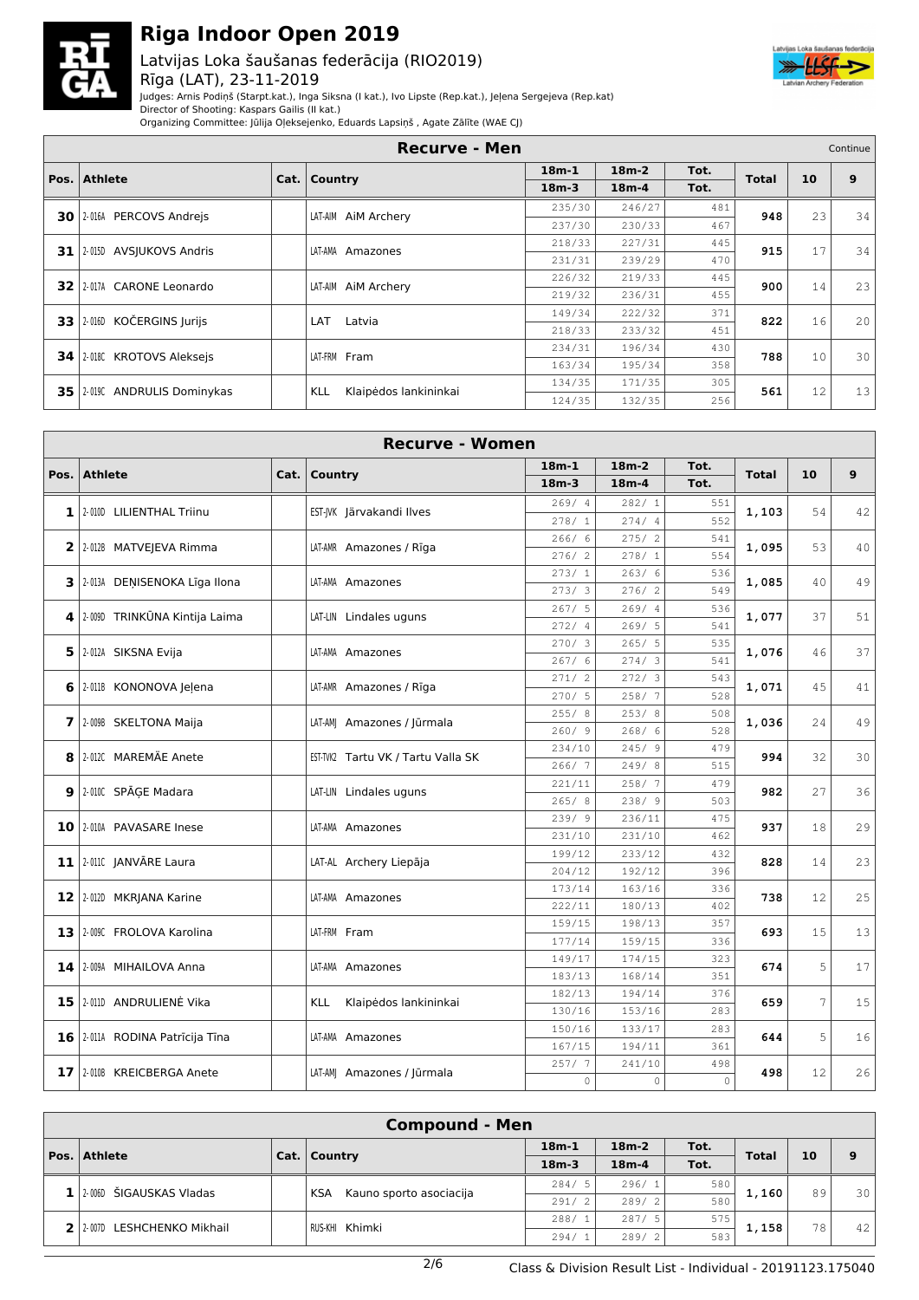

### Latvijas Loka šaušanas federācija (RIO2019) Rīga (LAT), 23-11-2019



Judges: Arnis Podiņš (Starpt.kat.), Inga Siksna (I kat.), Ivo Lipste (Rep.kat.), Jeļena Sergejeva (Rep.kat)

Director of Shooting: Kaspars Gailis (II kat.)

Organizing Committee: Jūlija Oļeksejenko, Eduards Lapsiņš , Agate Zālīte (WAE CJ)

| <b>Recurve - Men</b> |                                   |  |                              |         |         |      |              |    | Continue        |
|----------------------|-----------------------------------|--|------------------------------|---------|---------|------|--------------|----|-----------------|
|                      |                                   |  |                              | $18m-1$ | $18m-2$ | Tot. | <b>Total</b> | 10 | 9               |
|                      | Pos.   Athlete                    |  | Cat.   Country               | $18m-3$ | $18m-4$ | Tot. |              |    |                 |
|                      | 30 2.016A PERCOVS Andreis         |  | LAT-AIM AIM Archery          | 235/30  | 246/27  | 481  | 948          | 23 | 34              |
|                      |                                   |  |                              | 237/30  | 230/33  | 467  |              |    |                 |
|                      | 31 20150 AVSIUKOVS Andris         |  | LAT-AMA Amazones             | 218/33  | 227/31  | 445  | 915          | 17 | 34              |
|                      |                                   |  |                              | 231/31  | 239/29  | 470  |              |    |                 |
|                      | 32 2.017A CARONE Leonardo         |  | LAT-AIM AIM Archery          | 226/32  | 219/33  | 445  | 900          | 14 | 23              |
|                      |                                   |  |                              | 219/32  | 236/31  | 455  |              |    |                 |
|                      | KOČERGINS Jurijs<br>$33$   2-016D |  | LAT<br>Latvia                | 149/34  | 222/32  | 371  | 822          | 16 | 20              |
|                      |                                   |  |                              | 218/33  | 233/32  | 451  |              |    |                 |
|                      | 34 20180 KROTOVS Aleksejs         |  |                              | 234/31  | 196/34  | 430  | 788          | 10 | 30 <sup>1</sup> |
|                      |                                   |  | LAT-FRM Fram                 | 163/34  | 195/34  | 358  |              |    |                 |
|                      | 35 2019C ANDRULIS Dominykas       |  | Klaipėdos lankininkai<br>KLL | 134/35  | 171/35  | 305  | 561          | 12 | 13              |
|                      |                                   |  |                              | 124/35  | 132/35  | 256  |              |    |                 |

| <b>Recurve - Women</b> |                                   |  |                                    |         |             |             |              |    |    |  |  |
|------------------------|-----------------------------------|--|------------------------------------|---------|-------------|-------------|--------------|----|----|--|--|
|                        | Pos. Athlete                      |  | Cat. Country                       | $18m-1$ | $18m-2$     | Tot.        | <b>Total</b> | 10 | 9  |  |  |
|                        |                                   |  |                                    | $18m-3$ | $18m-4$     | Tot.        |              |    |    |  |  |
|                        |                                   |  |                                    | 269/4   | 282/1       | 551         |              |    |    |  |  |
|                        | 1 2-010D LILIENTHAL Triinu        |  | EST-JVK Järvakandi Ilves           | 278/1   | 274/4       | 552         | 1,103        | 54 | 42 |  |  |
|                        | 2 2-012B MATVEJEVA Rimma          |  | LAT-AMR Amazones / Rīga            | 266/6   | 275/2       | 541         | 1,095        | 53 | 40 |  |  |
|                        |                                   |  |                                    | 276/2   | 278/1       | 554         |              |    |    |  |  |
|                        | 3 2-013A DENISENOKA Līga Ilona    |  | LAT-AMA Amazones                   | 273/1   | 263/6       | 536         | 1,085        | 40 | 49 |  |  |
|                        |                                   |  |                                    | 273/3   | 276/2       | 549         |              |    |    |  |  |
|                        | 4 2009 TRINKŪNA Kintija Laima     |  | LAT-LIN Lindales uguns             | 267/5   | 269/4       | 536         | 1,077        | 37 | 51 |  |  |
|                        |                                   |  |                                    | 272/4   | 269/5       | 541         |              |    |    |  |  |
|                        | 5 2.012A SIKSNA Evija             |  | LAT-AMA Amazones                   | 270/3   | 265/5       | 535         | 1,076        | 46 | 37 |  |  |
|                        |                                   |  |                                    | 267/6   | 274/3       | 541         |              |    |    |  |  |
|                        | 6 2011 KONONOVA Jelena            |  | LAT-AMR Amazones / Rīga            | 271/2   | 272/3       | 543         | 1,071        | 45 | 41 |  |  |
|                        |                                   |  |                                    | 270/5   | 258/7       | 528         |              |    |    |  |  |
|                        | 7 2-009B SKELTONA Maija           |  | LAT-AMJ Amazones / Jūrmala         | 255/8   | 253/8       | 508         | 1,036        | 24 | 49 |  |  |
|                        |                                   |  |                                    | 260/9   | 268/6       | 528         |              |    |    |  |  |
|                        | 8 2012C MAREMÄE Anete             |  | EST-TVK2 Tartu VK / Tartu Valla SK | 234/10  | 245/9       | 479         | 994          | 32 | 30 |  |  |
|                        |                                   |  |                                    | 266/7   | 249/8       | 515         |              |    |    |  |  |
|                        | 9 2.010C SPĀGE Madara             |  | LAT-LIN Lindales uguns             | 221/11  | 258/7       | 479         | 982          | 27 | 36 |  |  |
|                        |                                   |  |                                    | 265/8   | 238/9       | 503         |              |    |    |  |  |
|                        | 10 2010A PAVASARE Inese           |  | LAT-AMA Amazones                   | 239/9   | 236/11      | 475         | 937          | 18 | 29 |  |  |
|                        |                                   |  |                                    | 231/10  | 231/10      | 462         |              |    |    |  |  |
|                        | 11 2-011C JANVĀRE Laura           |  | LAT-AL Archery Liepāja             | 199/12  | 233/12      | 432         | 828          | 14 | 23 |  |  |
|                        |                                   |  |                                    | 204/12  | 192/12      | 396         |              |    |    |  |  |
|                        | 12 2-012D MKRJANA Karine          |  | LAT-AMA Amazones                   | 173/14  | 163/16      | 336         | 738          | 12 | 25 |  |  |
|                        |                                   |  |                                    | 222/11  | 180/13      | 402         |              |    |    |  |  |
|                        | 13 2.009C FROLOVA Karolina        |  | LAT-FRM Fram                       | 159/15  | 198/13      | 357         | 693          | 15 | 13 |  |  |
|                        |                                   |  |                                    | 177/14  | 159/15      | 336         |              |    |    |  |  |
|                        | 14 2-009A MIHAILOVA Anna          |  | LAT-AMA Amazones                   | 149/17  | 174/15      | 323         | 674          | 5  | 17 |  |  |
|                        |                                   |  |                                    | 183/13  | 168/14      | 351         |              |    |    |  |  |
|                        | 15 2011 ANDRULIENĖ Vika           |  | KLL<br>Klaipėdos lankininkai       | 182/13  | 194/14      | 376         | 659          | 7  | 15 |  |  |
|                        |                                   |  |                                    | 130/16  | 153/16      | 283         |              |    |    |  |  |
|                        | 16   2-011A RODINA Patrīcija Tīna |  | LAT-AMA Amazones                   | 150/16  | 133/17      | 283         | 644          | 5  | 16 |  |  |
|                        |                                   |  |                                    | 167/15  | 194/11      | 361         |              |    |    |  |  |
|                        | 17 2008 KREICBERGA Anete          |  | LAT-AM  Amazones / Jūrmala         | 257/7   | 241/10      | 498         | 498          | 12 | 26 |  |  |
|                        |                                   |  |                                    | $\circ$ | $\mathbb O$ | $\mathbf 0$ |              |    |    |  |  |

| <b>Compound - Men</b> |                              |  |                                       |         |         |      |              |    |                 |  |  |  |  |
|-----------------------|------------------------------|--|---------------------------------------|---------|---------|------|--------------|----|-----------------|--|--|--|--|
|                       |                              |  |                                       | $18m-1$ | $18m-2$ | Tot. | <b>Total</b> |    | 9               |  |  |  |  |
|                       | Pos. Athlete                 |  | Cat.   Country                        | $18m-3$ | $18m-4$ | Tot. |              | 10 |                 |  |  |  |  |
|                       | $1/2000$ ŠIGAUSKAS Vladas    |  |                                       | 284/5   | 296/1   | 580  | 1,160        | 89 | 30 <sup>1</sup> |  |  |  |  |
|                       |                              |  | Kauno sporto asociacija<br><b>KSA</b> | 291/2   | 289/2   | 580  |              |    |                 |  |  |  |  |
|                       | 2 2 2007D LESHCHENKO Mikhail |  | RUS-KHI Khimki                        | 288/1   | 287/5   | 575  | 1,158        | 78 |                 |  |  |  |  |
|                       |                              |  |                                       | 294/1   | 289/2   | 583  |              |    | 42              |  |  |  |  |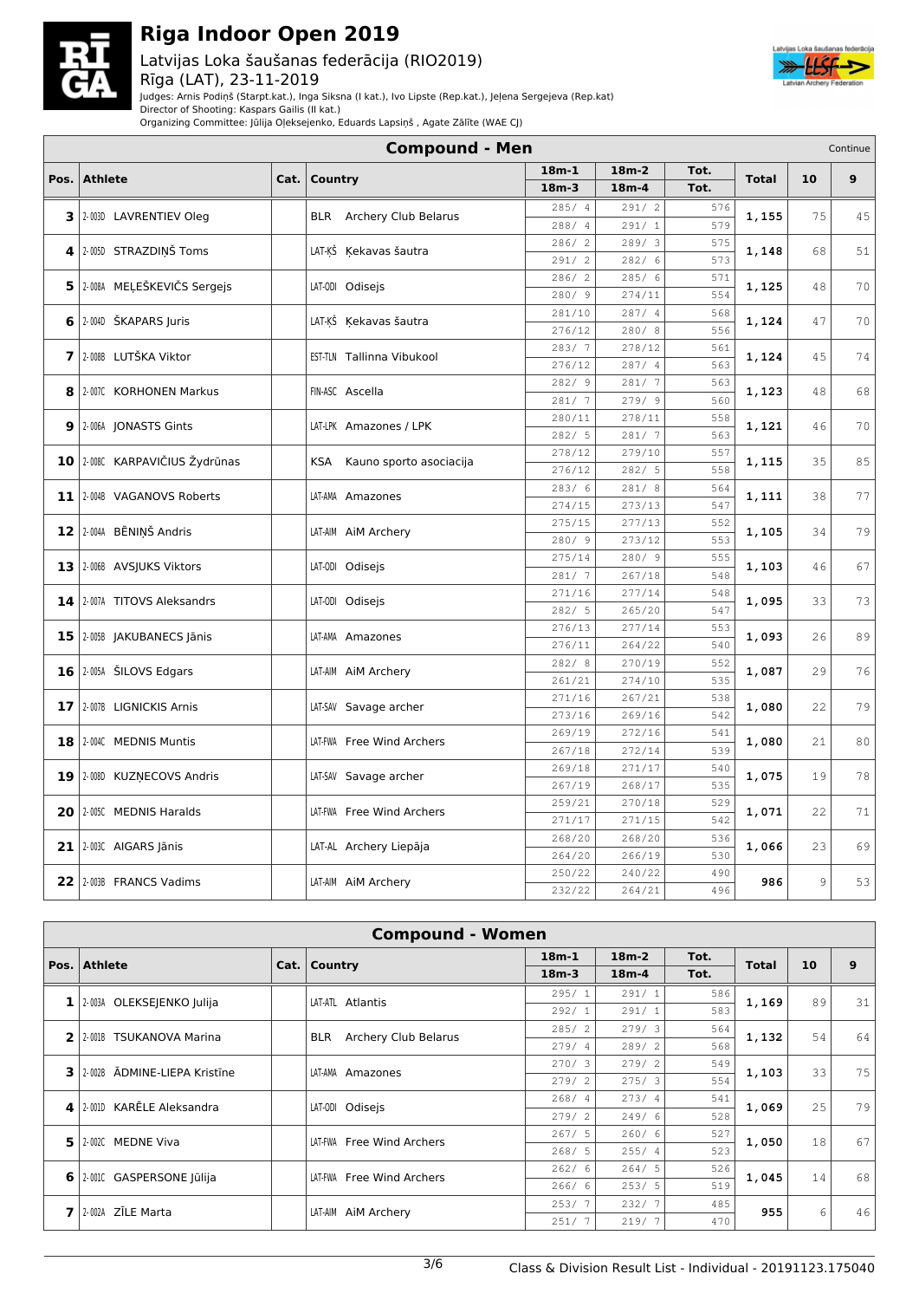

### Latvijas Loka šaušanas federācija (RIO2019) Rīga (LAT), 23-11-2019



Judges: Arnis Podiņš (Starpt.kat.), Inga Siksna (I kat.), Ivo Lipste (Rep.kat.), Jeļena Sergejeva (Rep.kat)

Director of Shooting: Kaspars Gailis (II kat.) Organizing Committee: Jūlija Oļeksejenko, Eduards Lapsiņš , Agate Zālīte (WAE CJ)

|                 | <b>Compound - Men</b><br>Continue |      |                                 |                        |                  |            |              |    |    |  |  |  |  |
|-----------------|-----------------------------------|------|---------------------------------|------------------------|------------------|------------|--------------|----|----|--|--|--|--|
| Pos.            | <b>Athlete</b>                    | Cat. | Country                         | $18m-1$                | $18m-2$          | Tot.       | <b>Total</b> | 10 | 9  |  |  |  |  |
|                 |                                   |      |                                 | $18m-3$                | $18m-4$          | Tot.       |              |    |    |  |  |  |  |
| 3               | 2-003D LAVRENTIEV Oleg            |      | <b>BLR</b> Archery Club Belarus | 285/4                  | 291/2            | 576        | 1,155        | 75 | 45 |  |  |  |  |
|                 |                                   |      |                                 | 288/<br>$\overline{4}$ | 291/1            | 579        |              |    |    |  |  |  |  |
| 4               | 2-005D STRAZDIŅŠ Toms             |      | LAT-ĶŠ Ķekavas šautra           | 286/2                  | 289/3            | 575        | 1,148        | 68 | 51 |  |  |  |  |
|                 |                                   |      |                                 | 291/2                  | 282/ 6           | 573        |              |    |    |  |  |  |  |
|                 | 5 2.008A MEĻEŠKEVIČS Sergejs      |      | LAT-ODI Odisejs                 | 286/<br>$\overline{c}$ | 285/ 6           | 571        | 1,125        | 48 | 70 |  |  |  |  |
|                 |                                   |      |                                 | 280/9                  | 274/11           | 554        |              |    |    |  |  |  |  |
| 6               | 2-0040 ŠKAPARS Juris              |      | LAT-KŠ Kekavas šautra           | 281/10                 | 287/4            | 568        | 1,124        | 47 | 70 |  |  |  |  |
|                 |                                   |      |                                 | 276/12                 | 280/8            | 556        |              |    |    |  |  |  |  |
| 7               | 2-008B LUTŠKA Viktor              |      | EST-TLN Tallinna Vibukool       | 283/7                  | 278/12           | 561        | 1,124        | 45 | 74 |  |  |  |  |
|                 |                                   |      |                                 | 276/12                 | 287/4            | 563        |              |    |    |  |  |  |  |
| 8               | 2-007C KORHONEN Markus            |      | FIN-ASC Ascella                 | 282/9                  | 281/7            | 563        | 1,123        | 48 | 68 |  |  |  |  |
|                 |                                   |      |                                 | 281/7                  | 279/9            | 560        |              |    |    |  |  |  |  |
| 9               | 2-006A JONASTS Gints              |      | LAT-LPK Amazones / LPK          | 280/11                 | 278/11           | 558        | 1,121        | 46 | 70 |  |  |  |  |
|                 |                                   |      |                                 | 282/5                  | 281/7            | 563        |              |    |    |  |  |  |  |
|                 | 10 2008C KARPAVIČIUS Žydrūnas     |      | KSA Kauno sporto asociacija     | 278/12                 | 279/10           | 557        | 1,115        | 35 | 85 |  |  |  |  |
|                 |                                   |      |                                 | 276/12                 | 282/5            | 558        |              |    |    |  |  |  |  |
|                 | 11 2-004B VAGANOVS Roberts        |      | LAT-AMA Amazones                | 283/6                  | 281/8            | 564        | 1,111        | 38 | 77 |  |  |  |  |
|                 |                                   |      |                                 | 274/15                 | 273/13           | 547        |              |    |    |  |  |  |  |
|                 | 12 2-004A BĒNIŅŠ Andris           |      | LAT-AIM AIM Archery             | 275/15                 | 277/13           | 552        | 1,105        | 34 | 79 |  |  |  |  |
|                 |                                   |      |                                 | 280/9                  | 273/12           | 553        |              |    |    |  |  |  |  |
|                 | 13 2006 AVSJUKS Viktors           |      | LAT-ODI Odisejs                 | 275/14                 | 280/9            | 555        | 1,103        | 46 | 67 |  |  |  |  |
|                 |                                   |      |                                 | 281/7                  | 267/18           | 548        |              |    |    |  |  |  |  |
| 14              | 2-007A TITOVS Aleksandrs          |      | LAT-0DI Odisejs                 | 271/16                 | 277/14           | 548        | 1,095        | 33 | 73 |  |  |  |  |
|                 |                                   |      |                                 | 282/5                  | 265/20           | 547        |              |    |    |  |  |  |  |
|                 | 15   2-005B JAKUBANECS Jānis      |      | LAT-AMA Amazones                | 276/13                 | 277/14           | 553        | 1,093        | 26 | 89 |  |  |  |  |
|                 |                                   |      |                                 | 276/11                 | 264/22           | 540        |              |    |    |  |  |  |  |
| 16              | 2-005A ŠILOVS Edgars              |      | LAT-AIM AIM Archery             | 282/8                  | 270/19           | 552        | 1,087        | 29 | 76 |  |  |  |  |
|                 |                                   |      |                                 | 261/21                 | 274/10           | 535        |              |    |    |  |  |  |  |
| 17 <sup>1</sup> | 2-007B LIGNICKIS Arnis            |      | LAT-SAV Savage archer           | 271/16<br>273/16       | 267/21<br>269/16 | 538<br>542 | 1,080        | 22 | 79 |  |  |  |  |
|                 |                                   |      |                                 |                        |                  |            |              |    |    |  |  |  |  |
| 18              | 2-004C MEDNIS Muntis              |      | LAT-FWA Free Wind Archers       | 269/19<br>267/18       | 272/16<br>272/14 | 541<br>539 | 1,080        | 21 | 80 |  |  |  |  |
|                 |                                   |      |                                 | 269/18                 | 271/17           | 540        |              |    |    |  |  |  |  |
|                 | 19   2-008D KUZŅECOVS Andris      |      | LAT-SAV Savage archer           | 267/19                 | 268/17           | 535        | 1,075        | 19 | 78 |  |  |  |  |
|                 |                                   |      |                                 |                        |                  |            |              |    |    |  |  |  |  |
| 20              | 2-005C MEDNIS Haralds             |      | LAT-FWA Free Wind Archers       | 259/21                 | 270/18           | 529<br>542 | 1,071        | 22 | 71 |  |  |  |  |
|                 |                                   |      |                                 | 271/17<br>268/20       | 271/15<br>268/20 | 536        |              |    |    |  |  |  |  |
| 21              | 2-003C AIGARS Jānis               |      | LAT-AL Archery Liepāja          | 264/20                 | 266/19           | 530        | 1,066        | 23 | 69 |  |  |  |  |
|                 |                                   |      |                                 | 250/22                 | 240/22           | 490        |              |    |    |  |  |  |  |
|                 | 22   2-003B FRANCS Vadims         |      | LAT-AIM AIM Archery             | 232/22                 | 264/21           | 496        | 986          | 9  | 53 |  |  |  |  |
|                 |                                   |      |                                 |                        |                  |            |              |    |    |  |  |  |  |

| <b>Compound - Women</b> |                              |  |                                    |         |         |      |              |    |    |  |  |  |
|-------------------------|------------------------------|--|------------------------------------|---------|---------|------|--------------|----|----|--|--|--|
| Pos. $\vert$            | <b>Athlete</b>               |  | Cat.   Country                     | $18m-1$ | $18m-2$ | Tot. | <b>Total</b> | 10 | 9  |  |  |  |
|                         |                              |  |                                    | $18m-3$ | $18m-4$ | Tot. |              |    |    |  |  |  |
| $1\vert$                | 2-003A OLEKSEJENKO Julija    |  | LAT-ATL Atlantis                   | 295/1   | 291/1   | 586  | 1,169        | 89 | 31 |  |  |  |
|                         |                              |  |                                    | 292/1   | 291/1   | 583  |              |    |    |  |  |  |
| $\mathbf{2}$            | 2-001B TSUKANOVA Marina      |  | Archery Club Belarus<br><b>BLR</b> | 285/2   | 279/3   | 564  | 1,132        | 54 | 64 |  |  |  |
|                         |                              |  |                                    | 279/4   | 289/2   | 568  |              |    |    |  |  |  |
| 3                       | 2-002B ADMINE-LIEPA Kristīne |  | LAT-AMA Amazones                   | 270/3   | 279/2   | 549  | 1,103        | 33 | 75 |  |  |  |
|                         |                              |  |                                    | 279/2   | 275/3   | 554  |              |    |    |  |  |  |
| $\sim$                  | KARĒLE Aleksandra<br>2-001D  |  | LAT-ODI Odisejs                    | 268/4   | 273/4   | 541  | 1,069        | 25 | 79 |  |  |  |
|                         |                              |  |                                    | 279/2   | 249/6   | 528  |              |    |    |  |  |  |
| 5.                      | <b>MEDNE Viva</b><br>2-002C  |  | LAT-FWA Free Wind Archers          | 267/5   | 260/6   | 527  | 1,050        | 18 | 67 |  |  |  |
|                         |                              |  |                                    | 268/5   | 255/4   | 523  |              |    |    |  |  |  |
| 6                       | 2-001C GASPERSONE Jūlija     |  | LAT-FWA Free Wind Archers          | 262/6   | 264/5   | 526  | 1,045        | 14 | 68 |  |  |  |
|                         |                              |  |                                    | 266/6   | 253/5   | 519  |              |    |    |  |  |  |
| $\overline{ }$          | 2-002A ZILE Marta            |  | LAT-AIM AIM Archery                | 253/7   | 232/7   | 485  | 955          | 6  | 46 |  |  |  |
|                         |                              |  |                                    | 251/7   | 219/7   | 470  |              |    |    |  |  |  |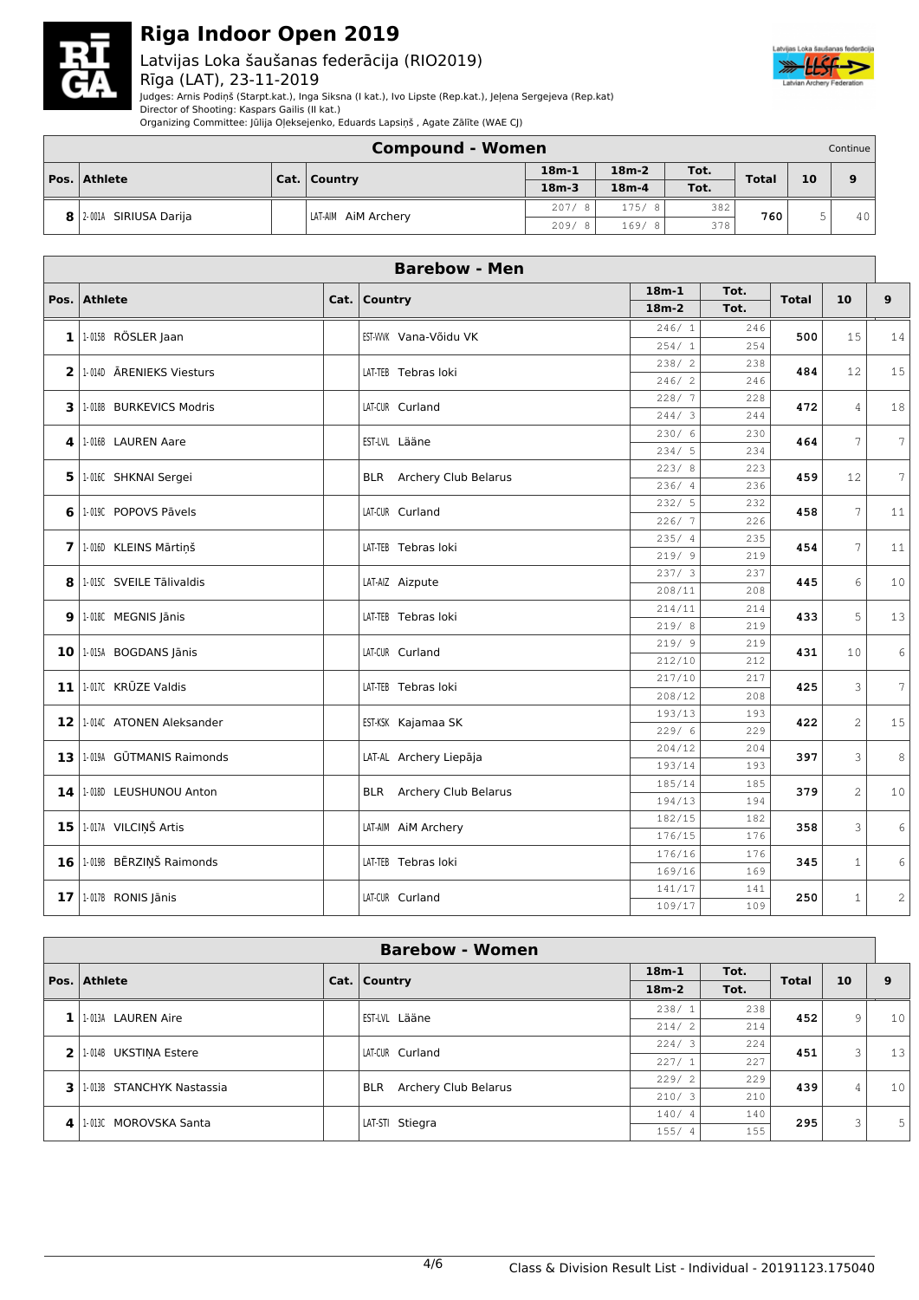

### Latvijas Loka šaušanas federācija (RIO2019) Rīga (LAT), 23-11-2019



Judges: Arnis Podiņš (Starpt.kat.), Inga Siksna (I kat.), Ivo Lipste (Rep.kat.), Jeļena Sergejeva (Rep.kat)

Director of Shooting: Kaspars Gailis (II kat.) Organizing Committee: Jūlija Oļeksejenko, Eduards Lapsiņš , Agate Zālīte (WAE CJ)

|                     | <b>Compound - Women</b><br>Continue |  |                     |         |         |      |              |    |    |  |  |  |
|---------------------|-------------------------------------|--|---------------------|---------|---------|------|--------------|----|----|--|--|--|
| <b>Pos. Athlete</b> |                                     |  | Cat.   Country      | $18m-1$ | $18m-2$ |      | <b>Total</b> | 10 | 9  |  |  |  |
|                     |                                     |  |                     | $18m-3$ | $18m-4$ | Tot. |              |    |    |  |  |  |
|                     |                                     |  | 207/8               | 175/8   | 382     | 760  | u            |    |    |  |  |  |
|                     | 2-001A SIRIUSA Darija               |  | LAT-AIM AIM Archery | 209/8   | 169/8   | 378  |              |    | 40 |  |  |  |

| <b>Barebow - Men</b> |                                   |  |                                 |                  |            |              |                |                |  |  |  |
|----------------------|-----------------------------------|--|---------------------------------|------------------|------------|--------------|----------------|----------------|--|--|--|
| Pos.                 | <b>Athlete</b>                    |  | Cat. Country                    | $18m-1$          | Tot.       | <b>Total</b> | 10             | 9              |  |  |  |
|                      |                                   |  |                                 | $18m-2$          | Tot.       |              |                |                |  |  |  |
|                      | $1$ <sup>1.0158</sup> RÖSLER Jaan |  | EST-WWK Vana-Võidu VK           | 246/1            | 246        | 500          | 15             | 14             |  |  |  |
|                      |                                   |  |                                 | 254/1            | 254        |              |                |                |  |  |  |
|                      | 2 1.0140 ARENIEKS Viesturs        |  | LAT-TEB Tebras loki             | 238/2            | 238        | 484          | 12             | 15             |  |  |  |
|                      |                                   |  |                                 | 246/2            | 246        |              |                |                |  |  |  |
|                      | 3   1-018B BURKEVICS Modris       |  | LAT-CUR Curland                 | 228/7            | 228        | 472          | $\overline{4}$ | 18             |  |  |  |
|                      |                                   |  |                                 | 244/3            | 244        |              |                |                |  |  |  |
| $\mathbf{4}$         | 1-016B LAUREN Aare                |  | EST-LVL Lääne                   | 230/6            | 230        | 464          | 7              | 7              |  |  |  |
|                      |                                   |  |                                 | 234/5<br>223/8   | 234        |              |                |                |  |  |  |
|                      | 5 1.016C SHKNAI Sergei            |  | <b>BLR</b> Archery Club Belarus | 236/4            | 223<br>236 | 459          | 12             | $\overline{7}$ |  |  |  |
|                      |                                   |  |                                 | 232/5            | 232        |              |                |                |  |  |  |
|                      | 6 1.019C POPOVS Pāvels            |  | LAT-CUR Curland                 | 226/7            | 226        | 458          | 7              | 11             |  |  |  |
|                      |                                   |  |                                 | 235/4            | 235        |              |                |                |  |  |  |
|                      | 7 1.0160 KLEINS Mārtiņš           |  | LAT-TEB Tebras loki             | 219/9            | 219        | 454          | 7              | 11             |  |  |  |
|                      |                                   |  |                                 | 237/3            | 237        |              |                |                |  |  |  |
|                      | 8 1.015C SVEILE Tālivaldis        |  | LAT-AIZ Aizpute                 | 208/11           | 208        | 445          | 6              | 10             |  |  |  |
|                      |                                   |  |                                 | 214/11           | 214        |              |                |                |  |  |  |
|                      | $9$   1-018C MEGNIS Jānis         |  | LAT-TEB Tebras loki             | 219/8            | 219        | 433          | 5              | 13             |  |  |  |
|                      | $10$   1-015A BOGDANS Jānis       |  | LAT-CUR Curland                 | 219/9            | 219        | 431          | 10             | 6              |  |  |  |
|                      |                                   |  |                                 | 212/10           | 212        |              |                |                |  |  |  |
| 11                   | 1-017C KRŪZE Valdis               |  | LAT-TEB Tebras loki             | 217/10           | 217        | 425          | 3              | 7              |  |  |  |
|                      |                                   |  |                                 | 208/12           | 208        |              |                |                |  |  |  |
| 12                   | 1-014C ATONEN Aleksander          |  | EST-KSK Kajamaa SK              | 193/13           | 193        | 422          | $\overline{c}$ | 15             |  |  |  |
|                      |                                   |  |                                 | 229/6            | 229        |              |                |                |  |  |  |
| 13                   | 1-019A GŪTMANIS Raimonds          |  | LAT-AL Archery Liepāja          | 204/12           | 204        | 397          | 3              | 8              |  |  |  |
|                      |                                   |  |                                 | 193/14           | 193        |              |                |                |  |  |  |
| 14                   | 1-018D LEUSHUNOU Anton            |  | <b>BLR</b> Archery Club Belarus | 185/14<br>194/13 | 185<br>194 | 379          | $\overline{c}$ | 10             |  |  |  |
|                      |                                   |  |                                 | 182/15           | 182        |              |                |                |  |  |  |
| 15 <sub>1</sub>      | 1-017A VILCIŅŠ Artis              |  | LAT-AIM AIM Archery             | 176/15           | 176        | 358          | 3              | 6              |  |  |  |
|                      |                                   |  |                                 | 176/16           | 176        |              |                |                |  |  |  |
|                      | 16 1-0198 BĒRZIŅŠ Raimonds        |  | LAT-TEB Tebras loki             | 169/16           | 169        | 345          | $\mathbf{1}$   | 6              |  |  |  |
|                      |                                   |  |                                 | 141/17           | 141        |              |                |                |  |  |  |
|                      | $17$   1-017B RONIS Jānis         |  | LAT-CUR Curland                 | 109/17           | 109        | 250          | $\mathbf{1}$   | $\overline{c}$ |  |  |  |
|                      |                                   |  |                                 |                  |            |              |                |                |  |  |  |

|    | <b>Barebow - Women</b>    |  |                                    |         |      |              |    |    |  |  |  |  |
|----|---------------------------|--|------------------------------------|---------|------|--------------|----|----|--|--|--|--|
|    | Pos. Athlete              |  | Cat.   Country                     | $18m-1$ | Tot. | <b>Total</b> | 10 | 9  |  |  |  |  |
|    |                           |  |                                    | $18m-2$ | Tot. |              |    |    |  |  |  |  |
| 1  | 1-013A LAUREN Aire        |  | EST-LVL Lääne                      | 238/    | 238  | 452          | 9  | 10 |  |  |  |  |
|    |                           |  |                                    | 214/2   | 214  |              |    |    |  |  |  |  |
| 2  | UKSTINA Estere<br>1- 014B |  | LAT-CUR Curland                    | 224/3   | 224  | 451          | 3  | 13 |  |  |  |  |
|    |                           |  |                                    | 227/1   | 227  |              |    |    |  |  |  |  |
| 3. | 1-013B STANCHYK Nastassia |  | Archery Club Belarus<br><b>BLR</b> | 229/2   | 229  | 439          | 4  | 10 |  |  |  |  |
|    |                           |  |                                    | 210/3   | 210  |              |    |    |  |  |  |  |
| 4  | MOROVSKA Santa<br>1-013C  |  |                                    | 140/4   | 140  | 295          | 3  | 5  |  |  |  |  |
|    |                           |  | LAT-STI Stiegra                    | 155/4   | 155  |              |    |    |  |  |  |  |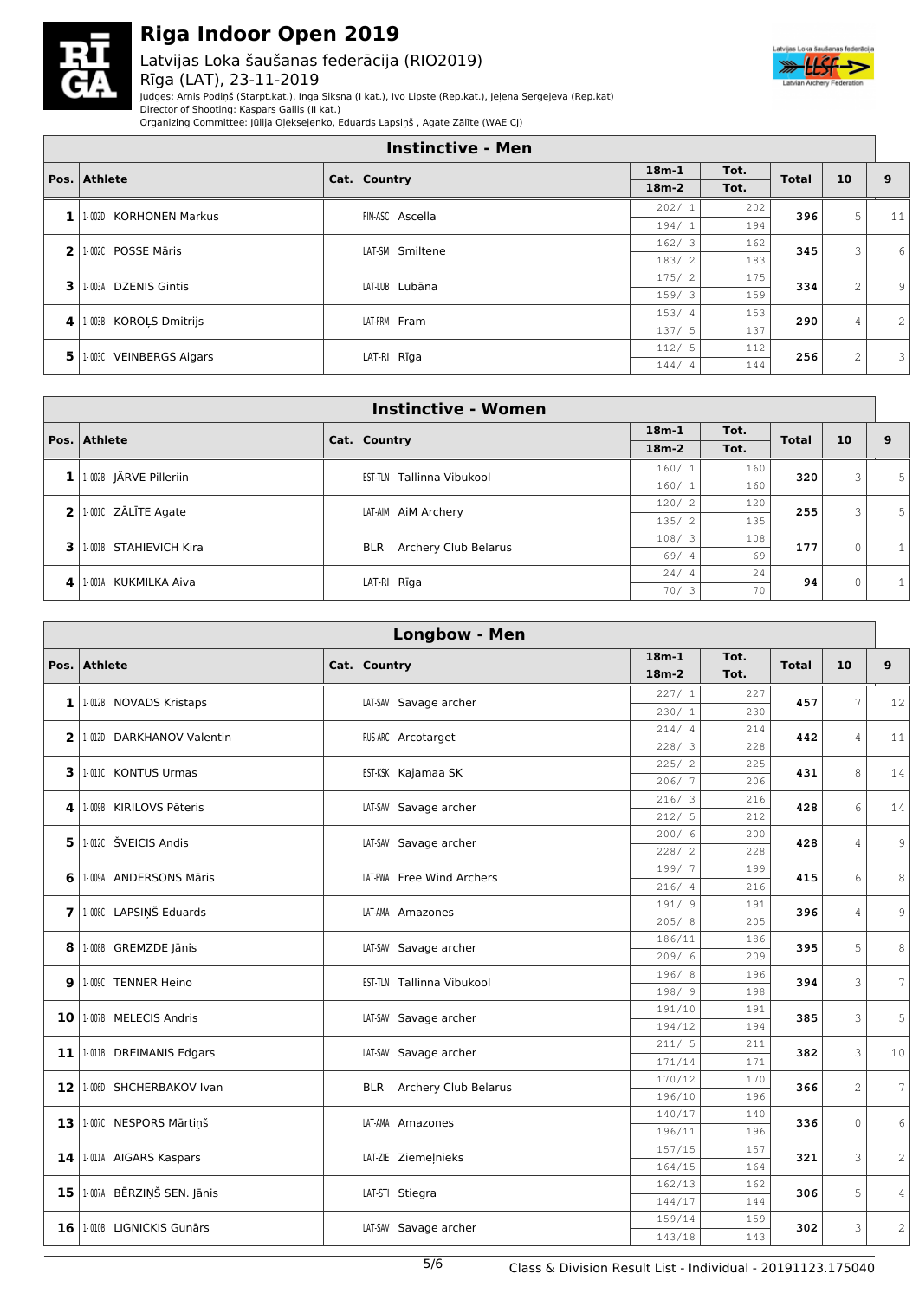

#### Latvijas Loka šaušanas federācija (RIO2019) Rīga (LAT), 23-11-2019



Judges: Arnis Podiņš (Starpt.kat.), Inga Siksna (I kat.), Ivo Lipste (Rep.kat.), Jeļena Sergejeva (Rep.kat) Director of Shooting: Kaspars Gailis (II kat.)

Organizing Committee: Jūlija Oļeksejenko, Eduards Lapsiņš , Agate Zālīte (WAE CJ)

|        | <b>Instinctive - Men</b> |  |                 |              |      |                |                |              |  |  |
|--------|--------------------------|--|-----------------|--------------|------|----------------|----------------|--------------|--|--|
| Pos. l | <b>Athlete</b>           |  | Cat.   Country  | $18m-1$      | Tot. | <b>Total</b>   | 10             | 9            |  |  |
|        |                          |  |                 | $18m-2$      | Tot. |                |                |              |  |  |
| 1      | 1-002D KORHONEN Markus   |  | FIN-ASC Ascella | 202/1        | 202  | 396            | 5              | 11           |  |  |
|        |                          |  |                 | 194/1        | 194  |                |                |              |  |  |
| 2      | 1-002C POSSE Māris       |  | LAT-SM Smiltene | 162/3        | 162  | 345            | 3              | 6            |  |  |
|        |                          |  |                 | 183/2        | 183  |                |                |              |  |  |
| 3.     | 1-003A DZENIS Gintis     |  | LAT-LUB Lubāna  | 175/2<br>175 | 334  | $\overline{c}$ | 9              |              |  |  |
|        |                          |  |                 | 159/3        | 159  |                |                |              |  |  |
| 4      | 1-003B KOROLS Dmitrijs   |  | LAT-FRM Fram    | 153/4        | 153  | 290            | 4              | 2            |  |  |
|        |                          |  |                 | 137/5        | 137  |                |                |              |  |  |
| 5.     | 1-003C VEINBERGS Aigars  |  | LAT-RI Rīga     | 112/5        | 112  | 256            | $\overline{c}$ | $\mathbf{3}$ |  |  |
|        |                          |  |                 | 144/4        | 144  |                |                |              |  |  |

|     | <b>Instinctive - Women</b> |             |                                    |         |      |              |              |              |  |  |  |
|-----|----------------------------|-------------|------------------------------------|---------|------|--------------|--------------|--------------|--|--|--|
|     | Pos. Athlete               |             | Cat. $\vert$ Country               | $18m-1$ | Tot. | <b>Total</b> | 10           | 9            |  |  |  |
|     |                            |             |                                    | $18m-2$ | Tot. |              |              |              |  |  |  |
|     | 1-002B JÄRVE Pilleriin     |             | Tallinna Vibukool<br>est-tln       | 160/1   | 160  | 320          | 3            | 5            |  |  |  |
|     |                            |             |                                    | 160/1   | 160  |              |              |              |  |  |  |
|     | $2$ 1.0010 ZALITE Agate    |             | LAT-AIM AIM Archery                | 120/2   | 120  | 255          | 3            | 5            |  |  |  |
|     |                            |             |                                    | 135/2   | 135  |              |              |              |  |  |  |
| 3 I | 1-001B STAHIEVICH Kira     |             | Archery Club Belarus<br><b>BLR</b> | 108/3   | 108  | 177          | $\Omega$     | $\mathbf{1}$ |  |  |  |
|     |                            |             |                                    | 69/4    | 69   |              |              |              |  |  |  |
| 41  |                            | LAT-RI Rīga |                                    | 24/4    | 24   | 94           | $\Omega$     |              |  |  |  |
|     | 1-001A KUKMILKA Aiva       |             | 70/3                               | 70      |      |              | $\mathbf{1}$ |              |  |  |  |

|      | <b>Longbow - Men</b>         |      |                                 |                  |            |              |                |                 |  |  |  |
|------|------------------------------|------|---------------------------------|------------------|------------|--------------|----------------|-----------------|--|--|--|
|      |                              |      |                                 | $18m-1$          | Tot.       |              |                |                 |  |  |  |
| Pos. | <b>Athlete</b>               | Cat. | Country                         | $18m-2$          | Tot.       | <b>Total</b> | 10             | 9               |  |  |  |
|      |                              |      |                                 | 227/1            | 227        |              |                |                 |  |  |  |
|      | $1$   1.012B NOVADS Kristaps |      | LAT-SAV Savage archer           | 230/1            | 230        | 457          | 7              | 12              |  |  |  |
|      | 2 1.012D DARKHANOV Valentin  |      | RUS-ARC Arcotarget              | 214/4            | 214        | 442          | $\overline{4}$ | 11              |  |  |  |
|      |                              |      |                                 | 228/3            | 228        |              |                |                 |  |  |  |
|      | 3 1.0110 KONTUS Urmas        |      | EST-KSK Kajamaa SK              | 225/2            | 225        | 431          | 8              | 14              |  |  |  |
|      |                              |      |                                 | 206/7            | 206        |              |                |                 |  |  |  |
|      | 4   1.009B KIRILOVS Pēteris  |      | LAT-SAV Savage archer           | 216/3            | 216        | 428          | 6              | 14              |  |  |  |
|      |                              |      |                                 | 212/5            | 212        |              |                |                 |  |  |  |
|      | 5 1.012C ŠVEICIS Andis       |      | LAT-SAV Savage archer           | 200/6            | 200        | 428          | $\overline{4}$ | 9               |  |  |  |
|      |                              |      |                                 | 228/2            | 228        |              |                |                 |  |  |  |
|      | 6 1.009A ANDERSONS Māris     |      | LAT-FWA Free Wind Archers       | 199/7            | 199<br>216 | 415          | 6              | $\,8\,$         |  |  |  |
|      |                              |      |                                 | 216/4<br>191/9   | 191        |              |                |                 |  |  |  |
|      | 7 1.008C LAPSIŅŠ Eduards     |      | LAT-AMA Amazones                | 205/8            | 205        | 396          | $\overline{4}$ | 9               |  |  |  |
|      |                              |      |                                 | 186/11           | 186        |              |                |                 |  |  |  |
|      | 8 1.008B GREMZDE Jānis       |      | LAT-SAV Savage archer           | 209/6            | 209        | 395          | 5              | 8               |  |  |  |
|      |                              |      |                                 | 196/8            | 196        |              |                |                 |  |  |  |
|      | 9   1-009C TENNER Heino      |      | EST-TLN Tallinna Vibukool       | 198/ 9           | 198        | 394          | 3              | 7               |  |  |  |
|      | 10 1.007B MELECIS Andris     |      |                                 | 191/10           | 191        | 385          | 3              | 5               |  |  |  |
|      |                              |      | LAT-SAV Savage archer           | 194/12           | 194        |              |                |                 |  |  |  |
|      | 11   1-011B DREIMANIS Edgars |      | LAT-SAV Savage archer           | 211/5            | 211        | 382          | 3              | 10              |  |  |  |
|      |                              |      |                                 | 171/14           | 171        |              |                |                 |  |  |  |
|      | 12 1.000 SHCHERBAKOV Ivan    |      | <b>BLR</b> Archery Club Belarus | 170/12           | 170        | 366          | $\overline{c}$ | $7\overline{ }$ |  |  |  |
|      |                              |      |                                 | 196/10           | 196        |              |                |                 |  |  |  |
|      | 13   1-007C NESPORS Mārtiņš  |      | LAT-AMA Amazones                | 140/17           | 140        | 336          | $\circ$        | 6               |  |  |  |
|      |                              |      |                                 | 196/11           | 196        |              |                |                 |  |  |  |
|      | 14   1-011A AIGARS Kaspars   |      | LAT-ZIE Ziemeļnieks             | 157/15<br>164/15 | 157<br>164 | 321          | 3              | 2               |  |  |  |
|      |                              |      |                                 | 162/13           | 162        |              |                |                 |  |  |  |
|      | 15 1.007A BĒRZIŅŠ SEN. Jānis |      | LAT-STI Stiegra                 | 144/17           | 144        | 306          | 5              | $\overline{4}$  |  |  |  |
|      |                              |      |                                 | 159/14           | 159        |              |                |                 |  |  |  |
|      | 16   1-010B LIGNICKIS Gunārs |      | LAT-SAV Savage archer           | 143/18           | 143        | 302          | 3              | $\overline{c}$  |  |  |  |
|      |                              |      |                                 |                  |            |              |                |                 |  |  |  |